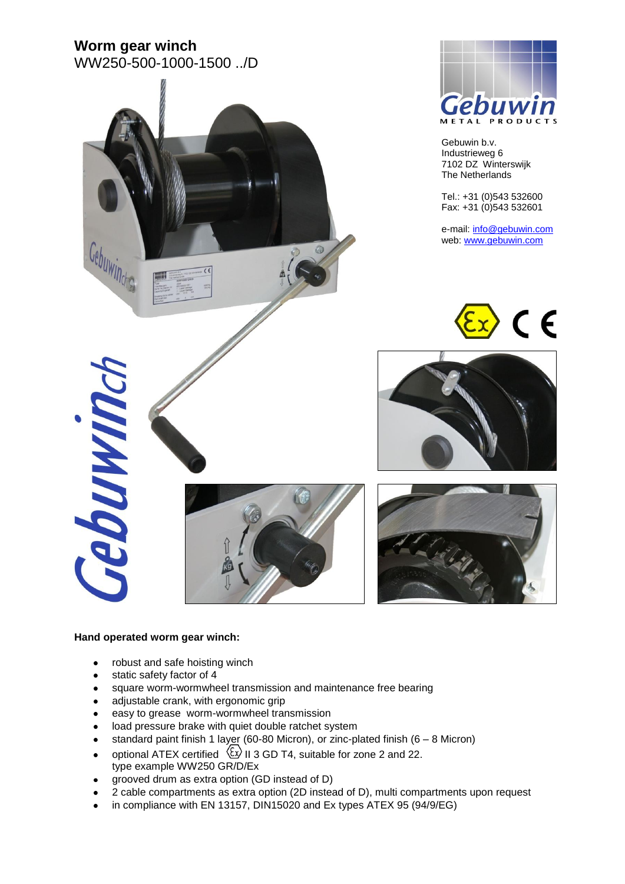# **Worm gear winch**



#### **Hand operated worm gear winch:**

- robust and safe hoisting winch
- static safety factor of 4  $\bullet$
- square worm-wormwheel transmission and maintenance free bearing  $\bullet$
- adjustable crank, with ergonomic grip  $\bullet$
- easy to grease worm-wormwheel transmission  $\bullet$
- load pressure brake with quiet double ratchet system  $\bullet$
- standard paint finish 1 layer (60-80 Micron), or zinc-plated finish (6 8 Micron)
- optional ATEX certified  $\langle \xi x \rangle$  II 3 GD T4, suitable for zone 2 and 22.  $\bullet$ type example WW250 GR/D/Ex
- grooved drum as extra option (GD instead of D)
- 2 cable compartments as extra option (2D instead of D), multi compartments upon request
- in compliance with EN 13157, DIN15020 and Ex types ATEX 95 (94/9/EG)